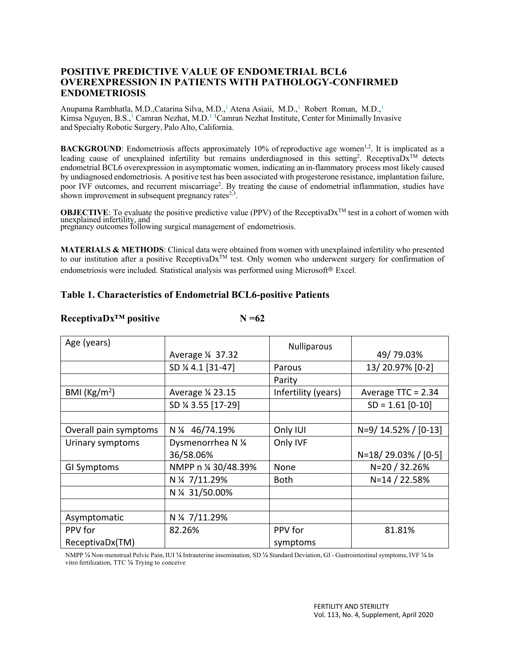# **POSITIVE PREDICTIVE VALUE OF ENDOMETRIAL BCL6 OVEREXPRESSION IN PATIENTS WITH PATHOLOGY-CONFIRMED ENDOMETRIOSIS**.

Anupama Rambhatla, M.D.,Catarina Silva, M.D.,<sup>1</sup> Atena Asiaii, M.D.,<sup>1</sup> Robert Roman, M.D.,<sup>1</sup> Kimsa Nguyen, B.S.,<sup>1</sup> Camran Nezhat, M.D.<sup>1 1</sup>Camran Nezhat Institute, Center for Minimally Invasive and Specialty Robotic Surgery, Palo Alto, California.

**BACKGROUND**: Endometriosis affects approximately 10% of reproductive age women<sup>1,2</sup>. It is implicated as a leading cause of unexplained infertility but remains underdiagnosed in this setting<sup>2</sup>. ReceptivaDx<sup>TM</sup> detects endometrial BCL6 overexpression in asymptomatic women, indicating an in-flammatory process most likely caused by undiagnosed endometriosis. A positive test has been associated with progesterone resistance, implantation failure, poor IVF outcomes, and recurrent miscarriage<sup>2</sup>. By treating the cause of endometrial inflammation, studies have shown improvement in subsequent pregnancy rates $2^{3}$ .

**OBJECTIVE:** To evaluate the positive predictive value (PPV) of the ReceptivaDx<sup>TM</sup> test in a cohort of women with unexplained infertility, and pregnancy outcomes following surgical management of endometriosis.

**MATERIALS & METHODS**: Clinical data were obtained from women with unexplained infertility who presented to our institution after a positive ReceptivaDx<sup>™</sup> test. Only women who underwent surgery for confirmation of endometriosis were included. Statistical analysis was performed using Microsoft® Excel.

# **Table 1. Characteristics of Endometrial BCL6-positive Patients**

## **ReceptivaDx™ positive N =62**

Age (years) Average ¼ 37.32 Nulliparous 49/ 79.03% SD ¼ 4.1 [31-47] | Parous | 13/ 20.97% [0-2] Parity BMI ( $\text{Kg/m}^2$ ) Average  $\frac{1}{2}$  23.15 | Infertility (years) | Average TTC = 2.34 SD ¼ 3.55 [17-29] SD = 1.61 [0-10] Overall pain symptoms  $\begin{vmatrix} N & 4 & 46/74.19\% \\ 4 & 4 & 46/74.19\% \end{vmatrix}$  Only IUI  $\begin{vmatrix} N=9/14.52\% \\ 1/14.52\% \end{vmatrix}$  [0-13] Urinary symptoms  $\vert$  Dysmenorrhea N ¼ 36/58.06% Only IVF N=18/ 29.03% / [0-5] GI Symptoms  $\vert$  NMPP n ¼ 30/48.39%  $\vert$  None  $\vert$  N=20 / 32.26% N ¼ 7/11.29% Both N=14 / 22.58% N ¼ 31/50.00% Asymptomatic  $\vert$  N  $\frac{1}{4}$  7/11.29% PPV for ReceptivaDx(TM) 82.26% PPV for symptoms 81.81%

NMPP ¼ Non-menstrual Pelvic Pain, IUI ¼ Intrauterine insemination, SD ¼ Standard Deviation, GI - Gastrointestinal symptoms, IVF ¼ In vitro fertilization, TTC ¼ Trying to conceive